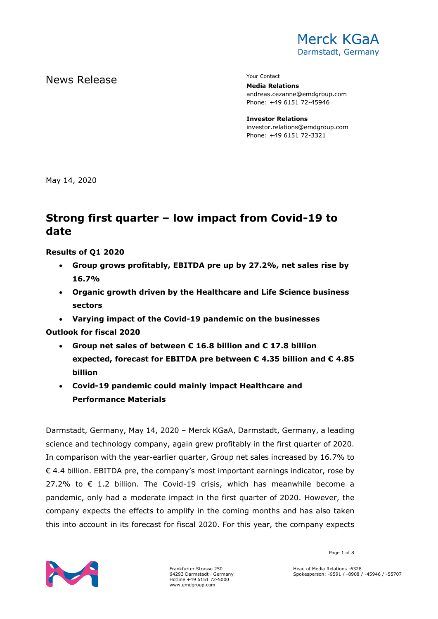

# News Release The Contact Terms of the Mean of the Mean of the Vour Contact

**Media Relations** andreas.cezanne@emdgroup.com Phone: +49 6151 72-45946

**Investor Relations** investor.relations@emdgroup.com Phone: +49 6151 72-3321

May 14, 2020

# **Strong first quarter – low impact from Covid-19 to date**

### **Results of Q1 2020**

- **Group grows profitably, EBITDA pre up by 27.2%, net sales rise by 16.7%**
- **Organic growth driven by the Healthcare and Life Science business sectors**
- **Varying impact of the Covid-19 pandemic on the businesses**

**Outlook for fiscal 2020**

- **Group net sales of between € 16.8 billion and € 17.8 billion expected, forecast for EBITDA pre between € 4.35 billion and € 4.85 billion**
- **Covid-19 pandemic could mainly impact Healthcare and Performance Materials**

Darmstadt, Germany, May 14, 2020 – Merck KGaA, Darmstadt, Germany, a leading science and technology company, again grew profitably in the first quarter of 2020. In comparison with the year-earlier quarter, Group net sales increased by 16.7% to  $\epsilon$  4.4 billion. EBITDA pre, the company's most important earnings indicator, rose by 27.2% to  $\epsilon$  1.2 billion. The Covid-19 crisis, which has meanwhile become a pandemic, only had a moderate impact in the first quarter of 2020. However, the company expects the effects to amplify in the coming months and has also taken this into account in its forecast for fiscal 2020. For this year, the company expects



Frankfurter Strasse 250 64293 Darmstadt · Germany Hotline +49 6151 72-5000 www.emdgroup.com

Page 1 of 8

Head of Media Relations -6328 Spokesperson: -9591 / -8908 / -45946 / -55707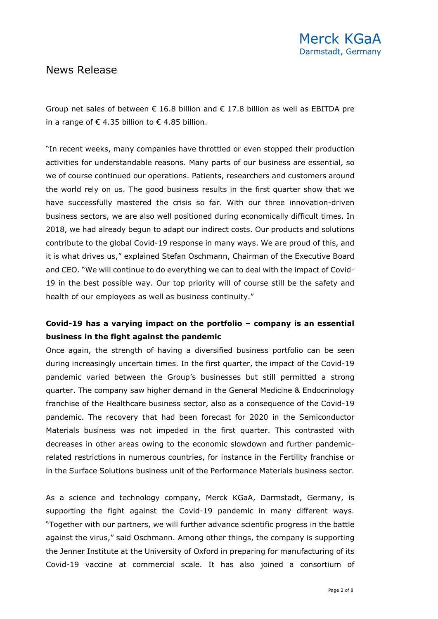Group net sales of between  $\epsilon$  16.8 billion and  $\epsilon$  17.8 billion as well as EBITDA pre in a range of  $\epsilon$  4.35 billion to  $\epsilon$  4.85 billion.

"In recent weeks, many companies have throttled or even stopped their production activities for understandable reasons. Many parts of our business are essential, so we of course continued our operations. Patients, researchers and customers around the world rely on us. The good business results in the first quarter show that we have successfully mastered the crisis so far. With our three innovation-driven business sectors, we are also well positioned during economically difficult times. In 2018, we had already begun to adapt our indirect costs. Our products and solutions contribute to the global Covid-19 response in many ways. We are proud of this, and it is what drives us," explained Stefan Oschmann, Chairman of the Executive Board and CEO. "We will continue to do everything we can to deal with the impact of Covid-19 in the best possible way. Our top priority will of course still be the safety and health of our employees as well as business continuity."

### **Covid-19 has a varying impact on the portfolio – company is an essential business in the fight against the pandemic**

Once again, the strength of having a diversified business portfolio can be seen during increasingly uncertain times. In the first quarter, the impact of the Covid-19 pandemic varied between the Group's businesses but still permitted a strong quarter. The company saw higher demand in the General Medicine & Endocrinology franchise of the Healthcare business sector, also as a consequence of the Covid-19 pandemic. The recovery that had been forecast for 2020 in the Semiconductor Materials business was not impeded in the first quarter. This contrasted with decreases in other areas owing to the economic slowdown and further pandemicrelated restrictions in numerous countries, for instance in the Fertility franchise or in the Surface Solutions business unit of the Performance Materials business sector.

As a science and technology company, Merck KGaA, Darmstadt, Germany, is supporting the fight against the Covid-19 pandemic in many different ways. "Together with our partners, we will further advance scientific progress in the battle against the virus," said Oschmann. Among other things, the company is supporting the Jenner Institute at the University of Oxford in preparing for manufacturing of its Covid-19 vaccine at commercial scale. It has also joined a consortium of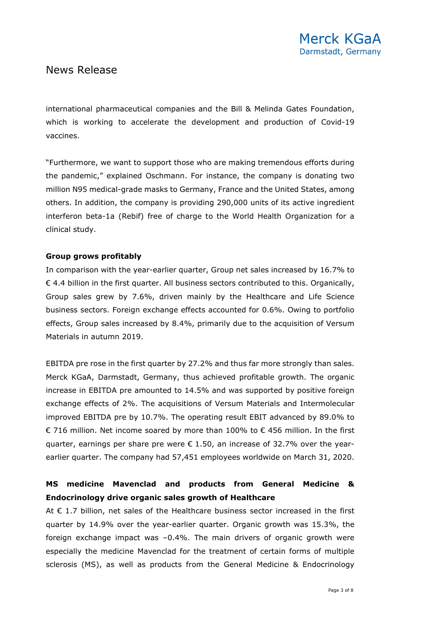international pharmaceutical companies and the Bill & Melinda Gates Foundation, which is working to accelerate the development and production of Covid-19 vaccines.

"Furthermore, we want to support those who are making tremendous efforts during the pandemic," explained Oschmann. For instance, the company is donating two million N95 medical-grade masks to Germany, France and the United States, among others. In addition, the company is providing 290,000 units of its active ingredient interferon beta-1a (Rebif) free of charge to the World Health Organization for a clinical study.

### **Group grows profitably**

In comparison with the year-earlier quarter, Group net sales increased by 16.7% to  $\epsilon$  4.4 billion in the first quarter. All business sectors contributed to this. Organically, Group sales grew by 7.6%, driven mainly by the Healthcare and Life Science business sectors. Foreign exchange effects accounted for 0.6%. Owing to portfolio effects, Group sales increased by 8.4%, primarily due to the acquisition of Versum Materials in autumn 2019.

EBITDA pre rose in the first quarter by 27.2% and thus far more strongly than sales. Merck KGaA, Darmstadt, Germany, thus achieved profitable growth. The organic increase in EBITDA pre amounted to 14.5% and was supported by positive foreign exchange effects of 2%. The acquisitions of Versum Materials and Intermolecular improved EBITDA pre by 10.7%. The operating result EBIT advanced by 89.0% to € 716 million. Net income soared by more than 100% to  $€$  456 million. In the first quarter, earnings per share pre were  $\epsilon$  1.50, an increase of 32.7% over the yearearlier quarter. The company had 57,451 employees worldwide on March 31, 2020.

## **MS medicine Mavenclad and products from General Medicine & Endocrinology drive organic sales growth of Healthcare**

At  $\epsilon$  1.7 billion, net sales of the Healthcare business sector increased in the first quarter by 14.9% over the year-earlier quarter. Organic growth was 15.3%, the foreign exchange impact was –0.4%. The main drivers of organic growth were especially the medicine Mavenclad for the treatment of certain forms of multiple sclerosis (MS), as well as products from the General Medicine & Endocrinology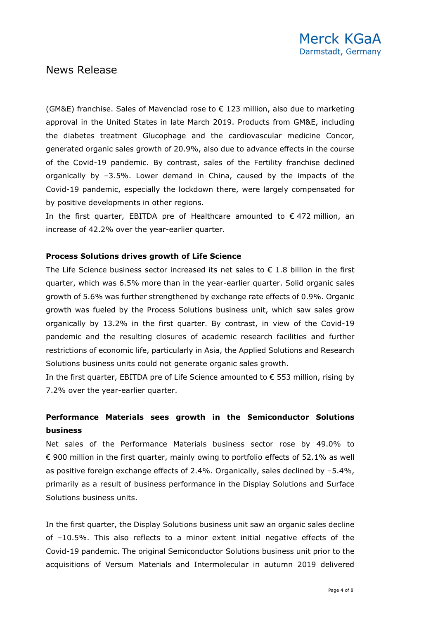(GM&E) franchise. Sales of Mavenclad rose to  $\epsilon$  123 million, also due to marketing approval in the United States in late March 2019. Products from GM&E, including the diabetes treatment Glucophage and the cardiovascular medicine Concor, generated organic sales growth of 20.9%, also due to advance effects in the course of the Covid-19 pandemic. By contrast, sales of the Fertility franchise declined organically by –3.5%. Lower demand in China, caused by the impacts of the Covid-19 pandemic, especially the lockdown there, were largely compensated for by positive developments in other regions.

In the first quarter, EBITDA pre of Healthcare amounted to  $\epsilon$  472 million, an increase of 42.2% over the year-earlier quarter.

#### **Process Solutions drives growth of Life Science**

The Life Science business sector increased its net sales to  $\epsilon$  1.8 billion in the first quarter, which was 6.5% more than in the year-earlier quarter. Solid organic sales growth of 5.6% was further strengthened by exchange rate effects of 0.9%. Organic growth was fueled by the Process Solutions business unit, which saw sales grow organically by 13.2% in the first quarter. By contrast, in view of the Covid-19 pandemic and the resulting closures of academic research facilities and further restrictions of economic life, particularly in Asia, the Applied Solutions and Research Solutions business units could not generate organic sales growth.

In the first quarter, EBITDA pre of Life Science amounted to  $\epsilon$  553 million, rising by 7.2% over the year-earlier quarter.

### **Performance Materials sees growth in the Semiconductor Solutions business**

Net sales of the Performance Materials business sector rose by 49.0% to € 900 million in the first quarter, mainly owing to portfolio effects of 52.1% as well as positive foreign exchange effects of 2.4%. Organically, sales declined by –5.4%, primarily as a result of business performance in the Display Solutions and Surface Solutions business units.

In the first quarter, the Display Solutions business unit saw an organic sales decline of –10.5%. This also reflects to a minor extent initial negative effects of the Covid-19 pandemic. The original Semiconductor Solutions business unit prior to the acquisitions of Versum Materials and Intermolecular in autumn 2019 delivered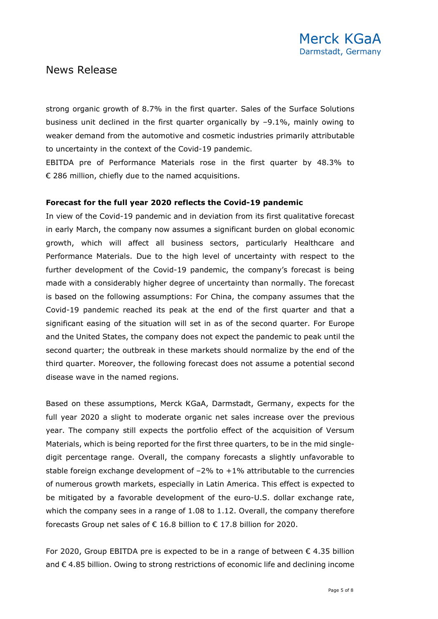strong organic growth of 8.7% in the first quarter. Sales of the Surface Solutions business unit declined in the first quarter organically by –9.1%, mainly owing to weaker demand from the automotive and cosmetic industries primarily attributable to uncertainty in the context of the Covid-19 pandemic.

EBITDA pre of Performance Materials rose in the first quarter by 48.3% to  $\epsilon$  286 million, chiefly due to the named acquisitions.

### **Forecast for the full year 2020 reflects the Covid-19 pandemic**

In view of the Covid-19 pandemic and in deviation from its first qualitative forecast in early March, the company now assumes a significant burden on global economic growth, which will affect all business sectors, particularly Healthcare and Performance Materials. Due to the high level of uncertainty with respect to the further development of the Covid-19 pandemic, the company's forecast is being made with a considerably higher degree of uncertainty than normally. The forecast is based on the following assumptions: For China, the company assumes that the Covid-19 pandemic reached its peak at the end of the first quarter and that a significant easing of the situation will set in as of the second quarter. For Europe and the United States, the company does not expect the pandemic to peak until the second quarter; the outbreak in these markets should normalize by the end of the third quarter. Moreover, the following forecast does not assume a potential second disease wave in the named regions.

Based on these assumptions, Merck KGaA, Darmstadt, Germany, expects for the full year 2020 a slight to moderate organic net sales increase over the previous year. The company still expects the portfolio effect of the acquisition of Versum Materials, which is being reported for the first three quarters, to be in the mid singledigit percentage range. Overall, the company forecasts a slightly unfavorable to stable foreign exchange development of  $-2\%$  to  $+1\%$  attributable to the currencies of numerous growth markets, especially in Latin America. This effect is expected to be mitigated by a favorable development of the euro-U.S. dollar exchange rate, which the company sees in a range of 1.08 to 1.12. Overall, the company therefore forecasts Group net sales of € 16.8 billion to € 17.8 billion for 2020.

For 2020, Group EBITDA pre is expected to be in a range of between  $\epsilon$  4.35 billion and € 4.85 billion. Owing to strong restrictions of economic life and declining income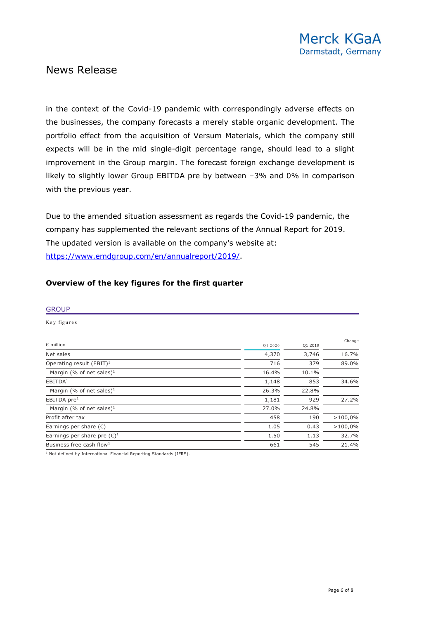in the context of the Covid-19 pandemic with correspondingly adverse effects on the businesses, the company forecasts a merely stable organic development. The portfolio effect from the acquisition of Versum Materials, which the company still expects will be in the mid single-digit percentage range, should lead to a slight improvement in the Group margin. The forecast foreign exchange development is likely to slightly lower Group EBITDA pre by between –3% and 0% in comparison with the previous year.

Due to the amended situation assessment as regards the Covid-19 pandemic, the company has supplemented the relevant sections of the Annual Report for 2019. The updated version is available on the company's website at: [https://www.emdgroup.com/en/annualreport/2019/.](https://www.emdgroup.com/en/annualreport/2019/)

### **Overview of the key figures for the first quarter**

#### **GROUP**

Key figures

| $\epsilon$ million                    | Q1 2020 | Q1 2019 | Change  |
|---------------------------------------|---------|---------|---------|
| Net sales                             | 4,370   | 3,746   | 16.7%   |
| Operating result $(EBIT)^1$           | 716     | 379     | 89.0%   |
| Margin (% of net sales) <sup>1</sup>  | 16.4%   | 10.1%   |         |
| EBITDA <sup>1</sup>                   | 1,148   | 853     | 34.6%   |
| Margin (% of net sales) <sup>1</sup>  | 26.3%   | 22.8%   |         |
| EBITDA pre $1$                        | 1,181   | 929     | 27.2%   |
| Margin (% of net sales) <sup>1</sup>  | 27.0%   | 24.8%   |         |
| Profit after tax                      | 458     | 190     | >100,0% |
| Earnings per share $(\epsilon)$       | 1.05    | 0.43    | >100,0% |
| Earnings per share pre $(\epsilon)^1$ | 1.50    | 1.13    | 32.7%   |
| Business free cash flow <sup>1</sup>  | 661     | 545     | 21.4%   |

 $<sup>1</sup>$  Not defined by International Financial Reporting Standards (IFRS).</sup>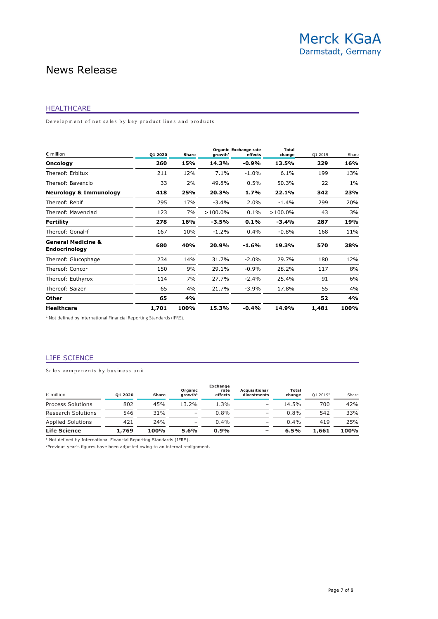#### HEALTHCARE

De velopment of net sales by key product lines and products

| $\epsilon$ million                                    | 01 2020 | Share | growth <sup>1</sup> | Organic Exchange rate<br>effects | Total<br>change | Q1 2019 | Share |
|-------------------------------------------------------|---------|-------|---------------------|----------------------------------|-----------------|---------|-------|
| <b>Oncology</b>                                       | 260     | 15%   | 14.3%               | $-0.9%$                          | 13.5%           | 229     | 16%   |
| Thereof: Erbitux                                      | 211     | 12%   | $7.1\%$             | $-1.0%$                          | 6.1%            | 199     | 13%   |
| Thereof: Bavencio                                     | 33      | 2%    | 49.8%               | 0.5%                             | 50.3%           | 22      | $1\%$ |
| <b>Neurology &amp; Immunology</b>                     | 418     | 25%   | 20.3%               | 1.7%                             | 22.1%           | 342     | 23%   |
| Thereof: Rebif                                        | 295     | 17%   | $-3.4%$             | 2.0%                             | $-1.4%$         | 299     | 20%   |
| Thereof: Mavenclad                                    | 123     | 7%    | $>100.0\%$          | 0.1%                             | $>100.0\%$      | 43      | 3%    |
| <b>Fertility</b>                                      | 278     | 16%   | -3.5%               | $0.1\%$                          | $-3.4%$         | 287     | 19%   |
| Thereof: Gonal-f                                      | 167     | 10%   | $-1.2%$             | 0.4%                             | $-0.8%$         | 168     | 11%   |
| <b>General Medicine &amp;</b><br><b>Endocrinology</b> | 680     | 40%   | 20.9%               | $-1.6%$                          | 19.3%           | 570     | 38%   |
| Thereof: Glucophage                                   | 234     | 14%   | 31.7%               | $-2.0%$                          | 29.7%           | 180     | 12%   |
| Thereof: Concor                                       | 150     | 9%    | 29.1%               | $-0.9%$                          | 28.2%           | 117     | 8%    |
| Thereof: Euthyrox                                     | 114     | 7%    | 27.7%               | $-2.4%$                          | 25.4%           | 91      | 6%    |
| Thereof: Saizen                                       | 65      | 4%    | 21.7%               | $-3.9%$                          | 17.8%           | 55      | 4%    |
| <b>Other</b>                                          | 65      | 4%    |                     |                                  |                 | 52      | 4%    |
| <b>Healthcare</b>                                     | 1,701   | 100%  | 15.3%               | $-0.4%$                          | 14.9%           | 1,481   | 100%  |

<sup>1</sup> Not defined by International Financial Reporting Standards (IFRS).

#### LIFE SCIENCE

Sales components by business unit

| $\epsilon$ million        | 01 2020 | <b>Share</b> | Organic<br>$arowth1$     | <b>Exchange</b><br>rate<br>effects | Acquisitions/<br>divestments | Total<br>change | $012019^2$ | Share |
|---------------------------|---------|--------------|--------------------------|------------------------------------|------------------------------|-----------------|------------|-------|
| <b>Process Solutions</b>  | 802     | 45%          | 13.2%                    | 1.3%                               | $\qquad \qquad$              | 14.5%           | 700        | 42%   |
| <b>Research Solutions</b> | 546     | 31%          | $\qquad \qquad$          | $0.8\%$                            | $\overline{\phantom{a}}$     | 0.8%            | 542        | 33%   |
| <b>Applied Solutions</b>  | 421     | 24%          | $\overline{\phantom{0}}$ | $0.4\%$                            | $\overline{\phantom{a}}$     | $0.4\%$         | 419        | 25%   |
| <b>Life Science</b>       | 1,769   | 100%         | 5.6%                     | 0.9%                               |                              | 6.5%            | 1,661      | 100%  |

<sup>1</sup> Not defined by International Financial Reporting Standards (IFRS).

 $2$ Previous year's figures have been adjusted owing to an internal realignment.